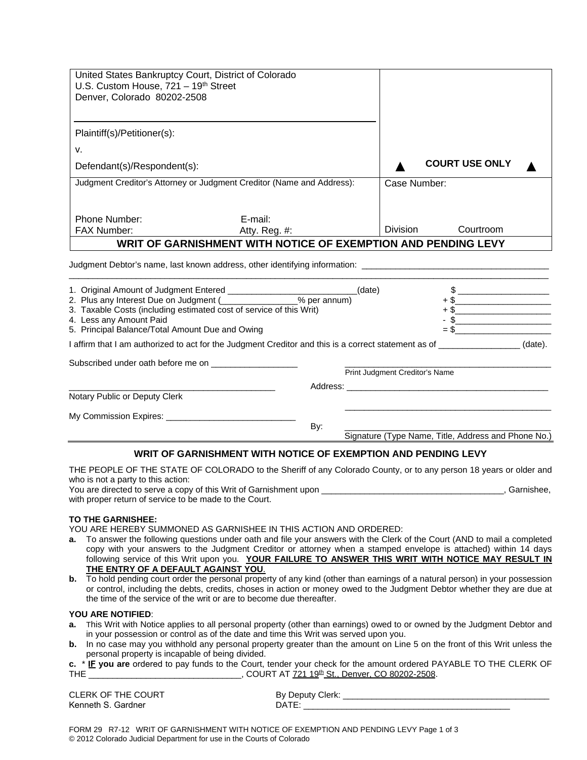| United States Bankruptcy Court, District of Colorado<br>U.S. Custom House, $721 - 19$ <sup>th</sup> Street                                        |                                                                                                                                                                                                                                                                      |                                |                                                     |  |  |
|---------------------------------------------------------------------------------------------------------------------------------------------------|----------------------------------------------------------------------------------------------------------------------------------------------------------------------------------------------------------------------------------------------------------------------|--------------------------------|-----------------------------------------------------|--|--|
| Denver, Colorado 80202-2508                                                                                                                       |                                                                                                                                                                                                                                                                      |                                |                                                     |  |  |
| Plaintiff(s)/Petitioner(s):                                                                                                                       |                                                                                                                                                                                                                                                                      |                                |                                                     |  |  |
| v.                                                                                                                                                |                                                                                                                                                                                                                                                                      |                                |                                                     |  |  |
| Defendant(s)/Respondent(s):                                                                                                                       |                                                                                                                                                                                                                                                                      |                                | <b>COURT USE ONLY</b>                               |  |  |
|                                                                                                                                                   | Judgment Creditor's Attorney or Judgment Creditor (Name and Address):                                                                                                                                                                                                | Case Number:                   |                                                     |  |  |
| Phone Number:                                                                                                                                     | E-mail:                                                                                                                                                                                                                                                              | Division                       | Courtroom                                           |  |  |
| FAX Number:                                                                                                                                       | Atty. Reg. #:<br>WRIT OF GARNISHMENT WITH NOTICE OF EXEMPTION AND PENDING LEVY                                                                                                                                                                                       |                                |                                                     |  |  |
| 3. Taxable Costs (including estimated cost of service of this Writ)<br>4. Less any Amount Paid<br>5. Principal Balance/Total Amount Due and Owing | Judgment Debtor's name, last known address, other identifying information: ___________________________________<br>1. Original Amount of Judgment Entered ____________________________(date)<br>2. Plus any Interest Due on Judgment (___________________% per annum) |                                | $\frac{1}{2}$<br>$+$ \$                             |  |  |
|                                                                                                                                                   | I affirm that I am authorized to act for the Judgment Creditor and this is a correct statement as of ________________(date).                                                                                                                                         |                                |                                                     |  |  |
| Subscribed under oath before me on _____________________                                                                                          |                                                                                                                                                                                                                                                                      | Print Judgment Creditor's Name |                                                     |  |  |
| Notary Public or Deputy Clerk                                                                                                                     |                                                                                                                                                                                                                                                                      |                                |                                                     |  |  |
|                                                                                                                                                   |                                                                                                                                                                                                                                                                      |                                |                                                     |  |  |
|                                                                                                                                                   | By:                                                                                                                                                                                                                                                                  |                                | Signature (Type Name, Title, Address and Phone No.) |  |  |
|                                                                                                                                                   | WRIT OF GARNISHMENT WITH NOTICE OF EXEMPTION AND PENDING LEVY                                                                                                                                                                                                        |                                |                                                     |  |  |

## THE PEOPLE OF THE STATE OF COLORADO to the Sheriff of any Colorado County, or to any person 18 years or older and who is not a party to this action:

You are directed to serve a copy of this Writ of Garnishment upon \_\_\_\_\_\_\_\_\_\_\_\_\_\_\_\_\_\_\_\_\_\_\_\_\_\_\_\_\_\_\_\_\_\_\_\_\_\_, Garnishee, with proper return of service to be made to the Court.

#### **TO THE GARNISHEE:**

YOU ARE HEREBY SUMMONED AS GARNISHEE IN THIS ACTION AND ORDERED:

- **a.** To answer the following questions under oath and file your answers with the Clerk of the Court (AND to mail a completed copy with your answers to the Judgment Creditor or attorney when a stamped envelope is attached) within 14 days following service of this Writ upon you. YOUR FAILURE TO ANSWER THIS WRIT WITH NOTICE MAY RESULT IN **THE ENTRY OF A DEFAULT AGAINST YOU**.
- **b.** To hold pending court order the personal property of any kind (other than earnings of a natural person) in your possession or control, including the debts, credits, choses in action or money owed to the Judgment Debtor whether they are due at the time of the service of the writ or are to become due thereafter.

### **YOU ARE NOTIFIED**:

- **a.** This Writ with Notice applies to all personal property (other than earnings) owed to or owned by the Judgment Debtor and in your possession or control as of the date and time this Writ was served upon you.
- **b.** In no case may you withhold any personal property greater than the amount on Line 5 on the front of this Writ unless the personal property is incapable of being divided.

|            | c. * IE you are ordered to pay funds to the Court, tender your check for the amount ordered PAYABLE TO THE CLERK OF |
|------------|---------------------------------------------------------------------------------------------------------------------|
| <b>THE</b> | , COURT AT 721 19 <sup>th</sup> St., Denver, CO 80202-2508.                                                         |

CLERK OF THE COURT By Deputy Clerk: \_\_\_\_\_\_\_\_\_\_\_\_\_\_\_\_\_\_\_\_\_\_\_\_\_\_\_\_\_\_\_\_\_\_\_\_\_\_\_\_\_\_\_ Kenneth S. Gardner **DATE**: 2008. DATE: 2008. DATE: 2008. DATE: 2008. 2018. 2019. 2019. 2019. 2019. 2019. 2019. 2019

FORM 29 R7-12 WRIT OF GARNISHMENT WITH NOTICE OF EXEMPTION AND PENDING LEVY Page 1 of 3 © 2012 Colorado Judicial Department for use in the Courts of Colorado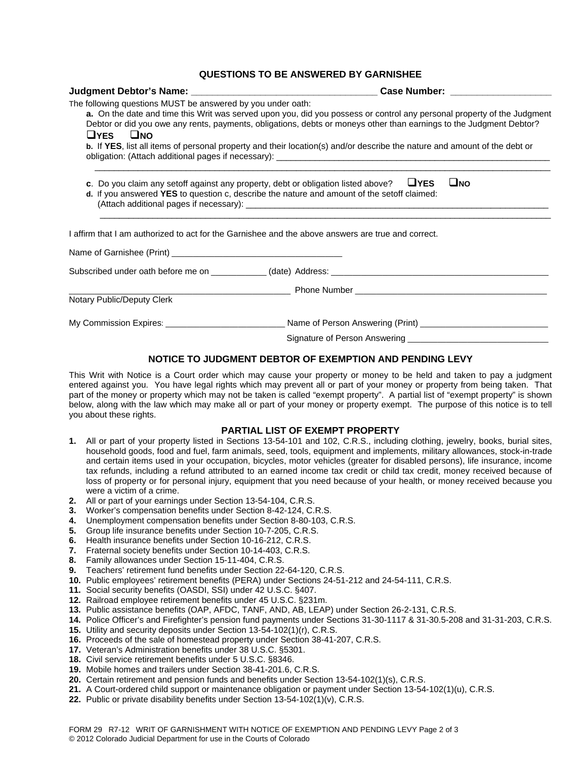# **QUESTIONS TO BE ANSWERED BY GARNISHEE**

|                                                                                                                                                                                                                                                                                                                                                                                                                                                                           | Case Number: ___________________                                                                                                                                                                                                     |  |  |  |
|---------------------------------------------------------------------------------------------------------------------------------------------------------------------------------------------------------------------------------------------------------------------------------------------------------------------------------------------------------------------------------------------------------------------------------------------------------------------------|--------------------------------------------------------------------------------------------------------------------------------------------------------------------------------------------------------------------------------------|--|--|--|
| The following questions MUST be answered by you under oath:<br>a. On the date and time this Writ was served upon you, did you possess or control any personal property of the Judgment<br>Debtor or did you owe any rents, payments, obligations, debts or moneys other than earnings to the Judgment Debtor?<br>$\Box$ YES $\Box$ NO<br><b>b.</b> If YES, list all items of personal property and their location(s) and/or describe the nature and amount of the debt or |                                                                                                                                                                                                                                      |  |  |  |
|                                                                                                                                                                                                                                                                                                                                                                                                                                                                           | c. Do you claim any setoff against any property, debt or obligation listed above? $\Box$ YES<br>$\Box$ NO<br>d. If you answered YES to question c, describe the nature and amount of the setoff claimed:                             |  |  |  |
|                                                                                                                                                                                                                                                                                                                                                                                                                                                                           | I affirm that I am authorized to act for the Garnishee and the above answers are true and correct.                                                                                                                                   |  |  |  |
|                                                                                                                                                                                                                                                                                                                                                                                                                                                                           |                                                                                                                                                                                                                                      |  |  |  |
|                                                                                                                                                                                                                                                                                                                                                                                                                                                                           |                                                                                                                                                                                                                                      |  |  |  |
|                                                                                                                                                                                                                                                                                                                                                                                                                                                                           | <b>Example 2008 Service School School School School School School School School School School School School School School School School School School School School School School School School School School School School Scho</b> |  |  |  |
| Notary Public/Deputy Clerk                                                                                                                                                                                                                                                                                                                                                                                                                                                |                                                                                                                                                                                                                                      |  |  |  |
|                                                                                                                                                                                                                                                                                                                                                                                                                                                                           | My Commission Expires: ________________________________Name of Person Answering (Print) ____________________________                                                                                                                 |  |  |  |
|                                                                                                                                                                                                                                                                                                                                                                                                                                                                           |                                                                                                                                                                                                                                      |  |  |  |

## **NOTICE TO JUDGMENT DEBTOR OF EXEMPTION AND PENDING LEVY**

This Writ with Notice is a Court order which may cause your property or money to be held and taken to pay a judgment entered against you. You have legal rights which may prevent all or part of your money or property from being taken. That part of the money or property which may not be taken is called "exempt property". A partial list of "exempt property" is shown below, along with the law which may make all or part of your money or property exempt. The purpose of this notice is to tell you about these rights.

## **PARTIAL LIST OF EXEMPT PROPERTY**

- **1.** All or part of your property listed in Sections 13-54-101 and 102, C.R.S., including clothing, jewelry, books, burial sites, household goods, food and fuel, farm animals, seed, tools, equipment and implements, military allowances, stock-in-trade and certain items used in your occupation, bicycles, motor vehicles (greater for disabled persons), life insurance, income tax refunds, including a refund attributed to an earned income tax credit or child tax credit, money received because of loss of property or for personal injury, equipment that you need because of your health, or money received because you were a victim of a crime.
- **2.** All or part of your earnings under Section 13-54-104, C.R.S.
- **3.** Worker's compensation benefits under Section 8-42-124, C.R.S.
- **4.** Unemployment compensation benefits under Section 8-80-103, C.R.S.
- **5.** Group life insurance benefits under Section 10-7-205, C.R.S.
- **6.** Health insurance benefits under Section 10-16-212, C.R.S.
- **7.** Fraternal society benefits under Section 10-14-403, C.R.S.
- **8.** Family allowances under Section 15-11-404, C.R.S.
- **9.** Teachers' retirement fund benefits under Section 22-64-120, C.R.S.
- **10.** Public employees' retirement benefits (PERA) under Sections 24-51-212 and 24-54-111, C.R.S.
- **11.** Social security benefits (OASDI, SSI) under 42 U.S.C. §407.
- **12.** Railroad employee retirement benefits under 45 U.S.C. §231m.
- **13.** Public assistance benefits (OAP, AFDC, TANF, AND, AB, LEAP) under Section 26-2-131, C.R.S.
- **14.** Police Officer's and Firefighter's pension fund payments under Sections 31-30-1117 & 31-30.5-208 and 31-31-203, C.R.S.
- **15.** Utility and security deposits under Section 13-54-102(1)(r), C.R.S.
- **16.** Proceeds of the sale of homestead property under Section 38-41-207, C.R.S.
- **17.** Veteran's Administration benefits under 38 U.S.C. §5301.
- **18.** Civil service retirement benefits under 5 U.S.C. §8346.
- **19.** Mobile homes and trailers under Section 38-41-201.6, C.R.S.
- **20.** Certain retirement and pension funds and benefits under Section 13-54-102(1)(s), C.R.S.
- **21.** A Court-ordered child support or maintenance obligation or payment under Section 13-54-102(1)(u), C.R.S.
- **22.** Public or private disability benefits under Section 13-54-102(1)(v), C.R.S.